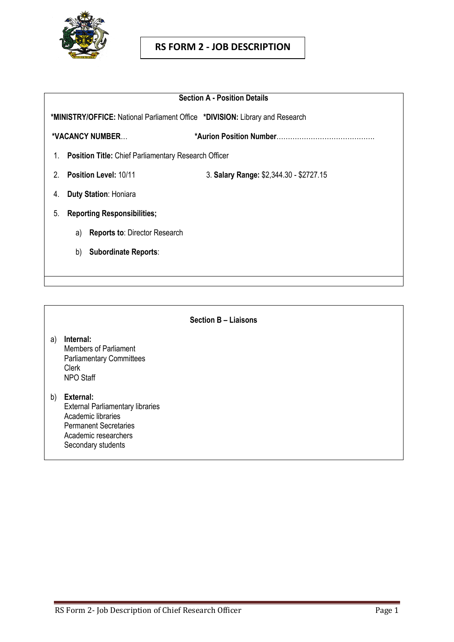

# **RS FORM 2 - JOB DESCRIPTION**

| <b>Section A - Position Details</b>                                                 |                                         |
|-------------------------------------------------------------------------------------|-----------------------------------------|
| <b>*MINISTRY/OFFICE:</b> National Parliament Office *DIVISION: Library and Research |                                         |
| *VACANCY NUMBER                                                                     |                                         |
| <b>Position Title:</b> Chief Parliamentary Research Officer<br>1.                   |                                         |
| <b>Position Level: 10/11</b><br>2                                                   | 3. Salary Range: \$2,344.30 - \$2727.15 |
| <b>Duty Station: Honiara</b><br>4.                                                  |                                         |
| <b>Reporting Responsibilities;</b><br>5.                                            |                                         |
| <b>Reports to: Director Research</b><br>a)                                          |                                         |
| <b>Subordinate Reports:</b><br>b)                                                   |                                         |
|                                                                                     |                                         |

**Section B – Liaisons**

- a) **Internal:** Members of Parliament Parliamentary Committees Clerk NPO Staff
- b) **External:** External Parliamentary libraries Academic libraries Permanent Secretaries Academic researchers Secondary students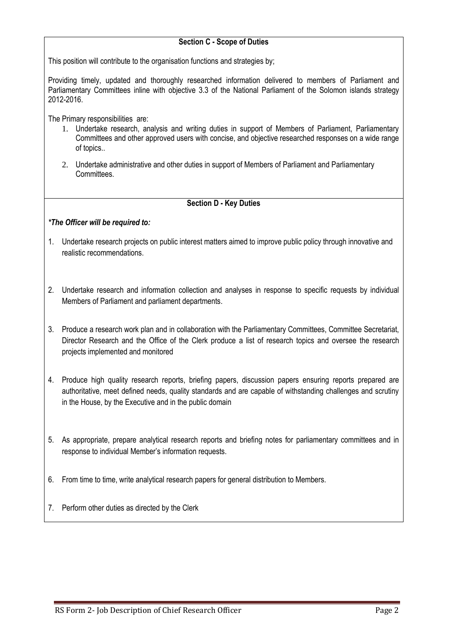# **Section C - Scope of Duties**

This position will contribute to the organisation functions and strategies by;

Providing timely, updated and thoroughly researched information delivered to members of Parliament and Parliamentary Committees inline with objective 3.3 of the National Parliament of the Solomon islands strategy 2012-2016.

The Primary responsibilities are:

- 1. Undertake research, analysis and writing duties in support of Members of Parliament, Parliamentary Committees and other approved users with concise, and objective researched responses on a wide range of topics..
- 2. Undertake administrative and other duties in support of Members of Parliament and Parliamentary Committees.

# **Section D - Key Duties**

### *\*The Officer will be required to:*

- 1. Undertake research projects on public interest matters aimed to improve public policy through innovative and realistic recommendations.
- 2. Undertake research and information collection and analyses in response to specific requests by individual Members of Parliament and parliament departments.
- 3. Produce a research work plan and in collaboration with the Parliamentary Committees, Committee Secretariat, Director Research and the Office of the Clerk produce a list of research topics and oversee the research projects implemented and monitored
- 4. Produce high quality research reports, briefing papers, discussion papers ensuring reports prepared are authoritative, meet defined needs, quality standards and are capable of withstanding challenges and scrutiny in the House, by the Executive and in the public domain
- 5. As appropriate, prepare analytical research reports and briefing notes for parliamentary committees and in response to individual Member's information requests.
- 6. From time to time, write analytical research papers for general distribution to Members.
- 7. Perform other duties as directed by the Clerk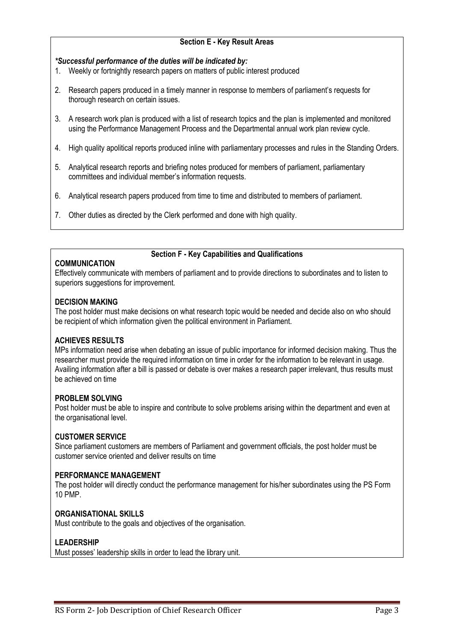### **Section E - Key Result Areas**

### *\*Successful performance of the duties will be indicated by:*

- 1. Weekly or fortnightly research papers on matters of public interest produced
- 2. Research papers produced in a timely manner in response to members of parliament's requests for thorough research on certain issues.
- 3. A research work plan is produced with a list of research topics and the plan is implemented and monitored using the Performance Management Process and the Departmental annual work plan review cycle.
- 4. High quality apolitical reports produced inline with parliamentary processes and rules in the Standing Orders.
- 5. Analytical research reports and briefing notes produced for members of parliament, parliamentary committees and individual member's information requests.
- 6. Analytical research papers produced from time to time and distributed to members of parliament.
- 7. Other duties as directed by the Clerk performed and done with high quality.

### **COMMUNICATION**

#### **Section F - Key Capabilities and Qualifications**

Effectively communicate with members of parliament and to provide directions to subordinates and to listen to superiors suggestions for improvement.

### **DECISION MAKING**

The post holder must make decisions on what research topic would be needed and decide also on who should be recipient of which information given the political environment in Parliament.

# **ACHIEVES RESULTS**

MPs information need arise when debating an issue of public importance for informed decision making. Thus the researcher must provide the required information on time in order for the information to be relevant in usage. Availing information after a bill is passed or debate is over makes a research paper irrelevant, thus results must be achieved on time

#### **PROBLEM SOLVING**

Post holder must be able to inspire and contribute to solve problems arising within the department and even at the organisational level.

# **CUSTOMER SERVICE**

Since parliament customers are members of Parliament and government officials, the post holder must be customer service oriented and deliver results on time

#### **PERFORMANCE MANAGEMENT**

The post holder will directly conduct the performance management for his/her subordinates using the PS Form 10 PMP.

# **ORGANISATIONAL SKILLS**

Must contribute to the goals and objectives of the organisation.

# **LEADERSHIP**

Must posses' leadership skills in order to lead the library unit.